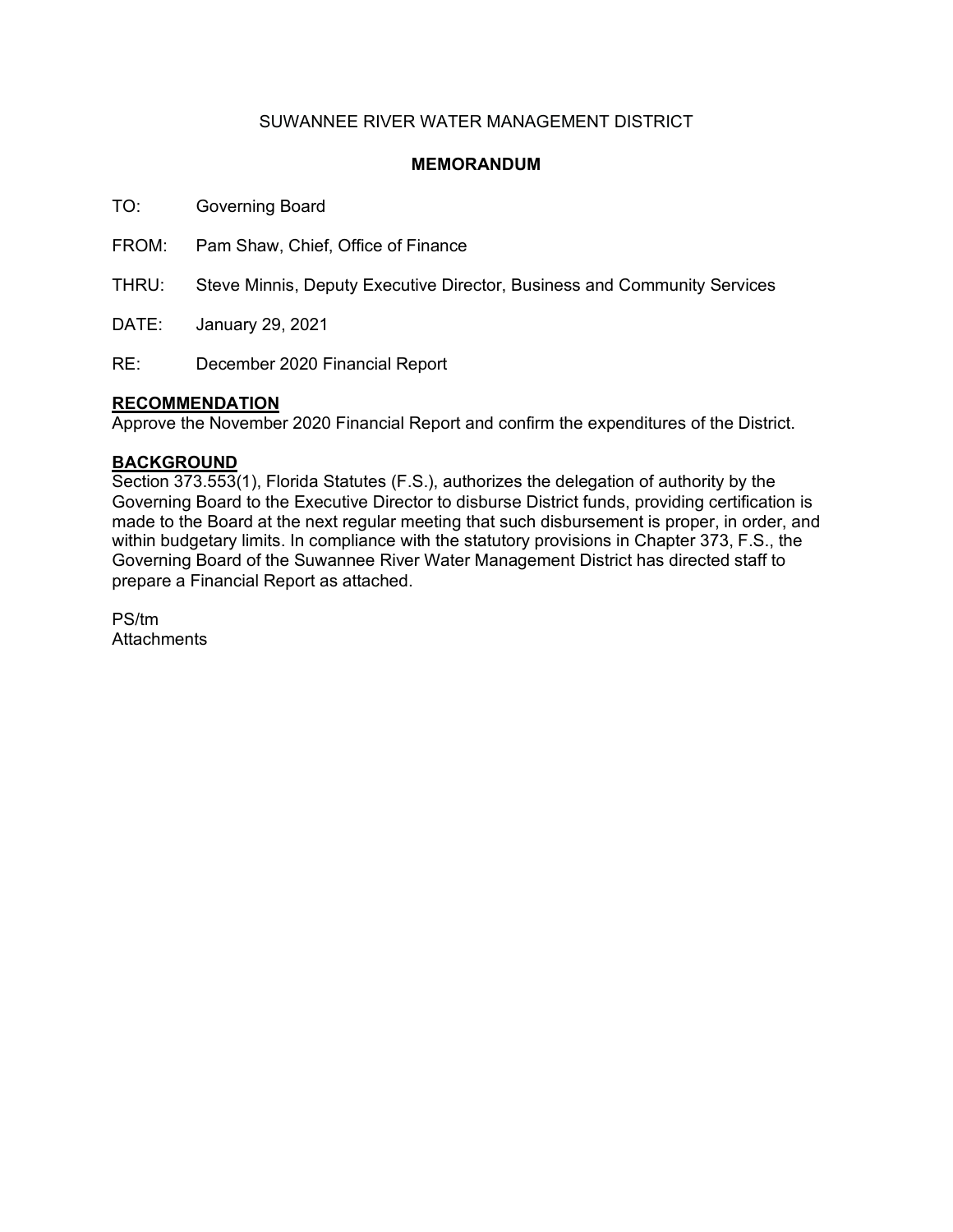## SUWANNEE RIVER WATER MANAGEMENT DISTRICT

### **MEMORANDUM**

TO: Governing Board

FROM: Pam Shaw, Chief, Office of Finance

THRU: Steve Minnis, Deputy Executive Director, Business and Community Services

DATE: January 29, 2021

RE: December 2020 Financial Report

### **RECOMMENDATION**

Approve the November 2020 Financial Report and confirm the expenditures of the District.

### **BACKGROUND**

Section 373.553(1), Florida Statutes (F.S.), authorizes the delegation of authority by the Governing Board to the Executive Director to disburse District funds, providing certification is made to the Board at the next regular meeting that such disbursement is proper, in order, and within budgetary limits. In compliance with the statutory provisions in Chapter 373, F.S., the Governing Board of the Suwannee River Water Management District has directed staff to prepare a Financial Report as attached.

PS/tm **Attachments**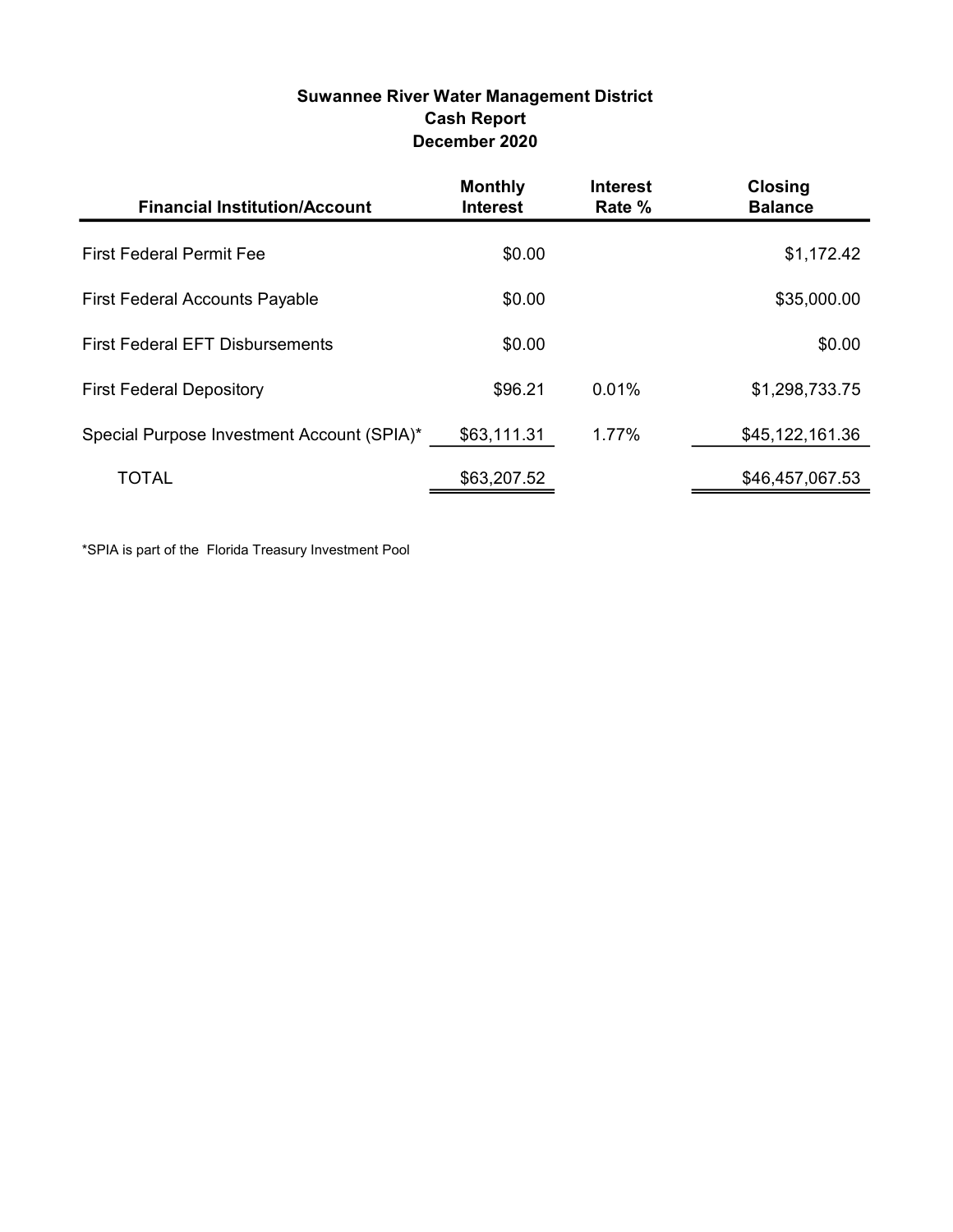## Suwannee River Water Management District Cash Report December 2020

| <b>Financial Institution/Account</b>       | <b>Monthly</b><br><b>Interest</b> | <b>Interest</b><br>Rate % | <b>Closing</b><br><b>Balance</b> |
|--------------------------------------------|-----------------------------------|---------------------------|----------------------------------|
| <b>First Federal Permit Fee</b>            | \$0.00                            |                           | \$1,172.42                       |
| <b>First Federal Accounts Payable</b>      | \$0.00                            |                           | \$35,000.00                      |
| <b>First Federal EFT Disbursements</b>     | \$0.00                            |                           | \$0.00                           |
| <b>First Federal Depository</b>            | \$96.21                           | 0.01%                     | \$1,298,733.75                   |
| Special Purpose Investment Account (SPIA)* | \$63,111.31                       | 1.77%                     | \$45,122,161.36                  |
| <b>TOTAL</b>                               | \$63,207.52                       |                           | \$46,457,067.53                  |

\*SPIA is part of the Florida Treasury Investment Pool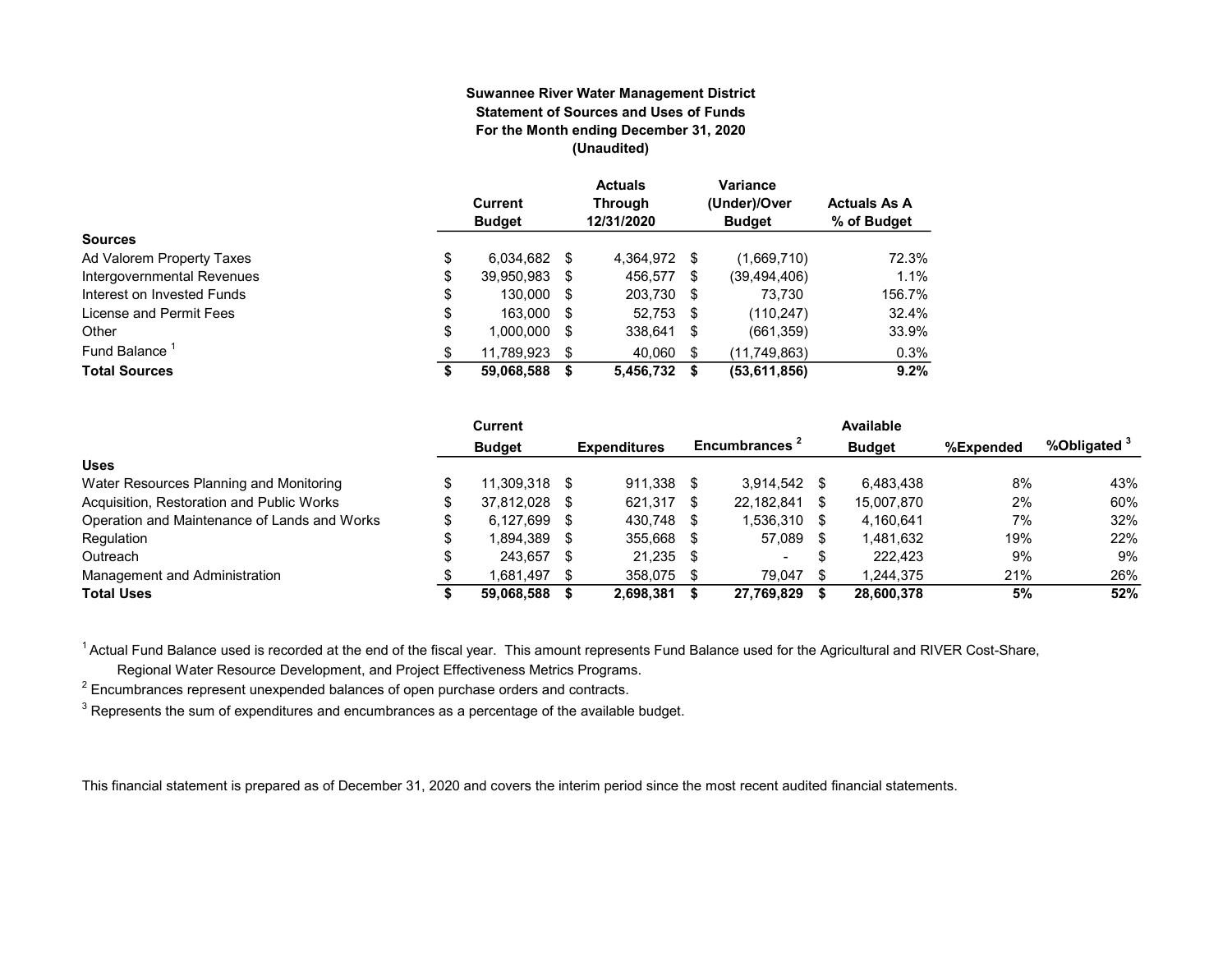#### Suwannee River Water Management District Statement of Sources and Uses of Funds For the Month ending December 31, 2020 (Unaudited)

|                            | Current<br><b>Budget</b> |      | <b>Actuals</b><br><b>Through</b><br>12/31/2020 |      | Variance<br>(Under)/Over<br><b>Budget</b> | <b>Actuals As A</b><br>% of Budget |
|----------------------------|--------------------------|------|------------------------------------------------|------|-------------------------------------------|------------------------------------|
| <b>Sources</b>             |                          |      |                                                |      |                                           |                                    |
| Ad Valorem Property Taxes  | \$<br>6.034.682          | - \$ | 4,364,972 \$                                   |      | (1,669,710)                               | 72.3%                              |
| Intergovernmental Revenues | \$<br>39,950,983         | S    | 456,577                                        | S    | (39, 494, 406)                            | 1.1%                               |
| Interest on Invested Funds | \$<br>130,000 \$         |      | 203,730 \$                                     |      | 73.730                                    | 156.7%                             |
| License and Permit Fees    | \$<br>163,000 \$         |      | $52,753$ \$                                    |      | (110, 247)                                | 32.4%                              |
| Other                      | \$<br>1,000,000          | S    | 338,641                                        | - \$ | (661, 359)                                | 33.9%                              |
| Fund Balance               | \$<br>11.789.923         |      | 40.060                                         | S    | (11, 749, 863)                            | 0.3%                               |
| <b>Total Sources</b>       | \$<br>59,068,588         |      | 5,456,732                                      | S    | (53,611,856)                              | 9.2%                               |

|                                              | Current          |      |                     |      |                           |     | Available     |           |              |
|----------------------------------------------|------------------|------|---------------------|------|---------------------------|-----|---------------|-----------|--------------|
|                                              | <b>Budget</b>    |      | <b>Expenditures</b> |      | Encumbrances <sup>2</sup> |     | <b>Budget</b> | %Expended | %Obligated 3 |
| <b>Uses</b>                                  |                  |      |                     |      |                           |     |               |           |              |
| Water Resources Planning and Monitoring      | 11.309.318 \$    |      | 911.338             | -S   | 3.914.542                 | \$  | 6.483.438     | 8%        | 43%          |
| Acquisition, Restoration and Public Works    | \$<br>37.812.028 | - \$ | 621,317             |      | 22,182,841                | \$  | 15,007,870    | 2%        | 60%          |
| Operation and Maintenance of Lands and Works | \$<br>6,127,699  | - \$ | 430.748             | - \$ | 1,536,310                 | \$  | 4,160,641     | 7%        | 32%          |
| Regulation                                   | \$<br>l.894.389  | - \$ | 355.668             | -S   | 57,089                    | -SS | 1.481.632     | 19%       | 22%          |
| Outreach                                     | 243.657          | - \$ | 21.235              | -S   | $\overline{\phantom{a}}$  | ъ   | 222.423       | 9%        | 9%           |
| Management and Administration                | 1.681.497        | - \$ | 358,075             |      | 79.047                    |     | 1.244.375     | 21%       | 26%          |
| <b>Total Uses</b>                            | 59.068.588       |      | 2,698,381           |      | 27,769,829                |     | 28,600,378    | 5%        | 52%          |

<sup>1</sup> Actual Fund Balance used is recorded at the end of the fiscal year. This amount represents Fund Balance used for the Agricultural and RIVER Cost-Share,

Regional Water Resource Development, and Project Effectiveness Metrics Programs.

 $^2$  Encumbrances represent unexpended balances of open purchase orders and contracts.

 $^3$  Represents the sum of expenditures and encumbrances as a percentage of the available budget.

This financial statement is prepared as of December 31, 2020 and covers the interim period since the most recent audited financial statements.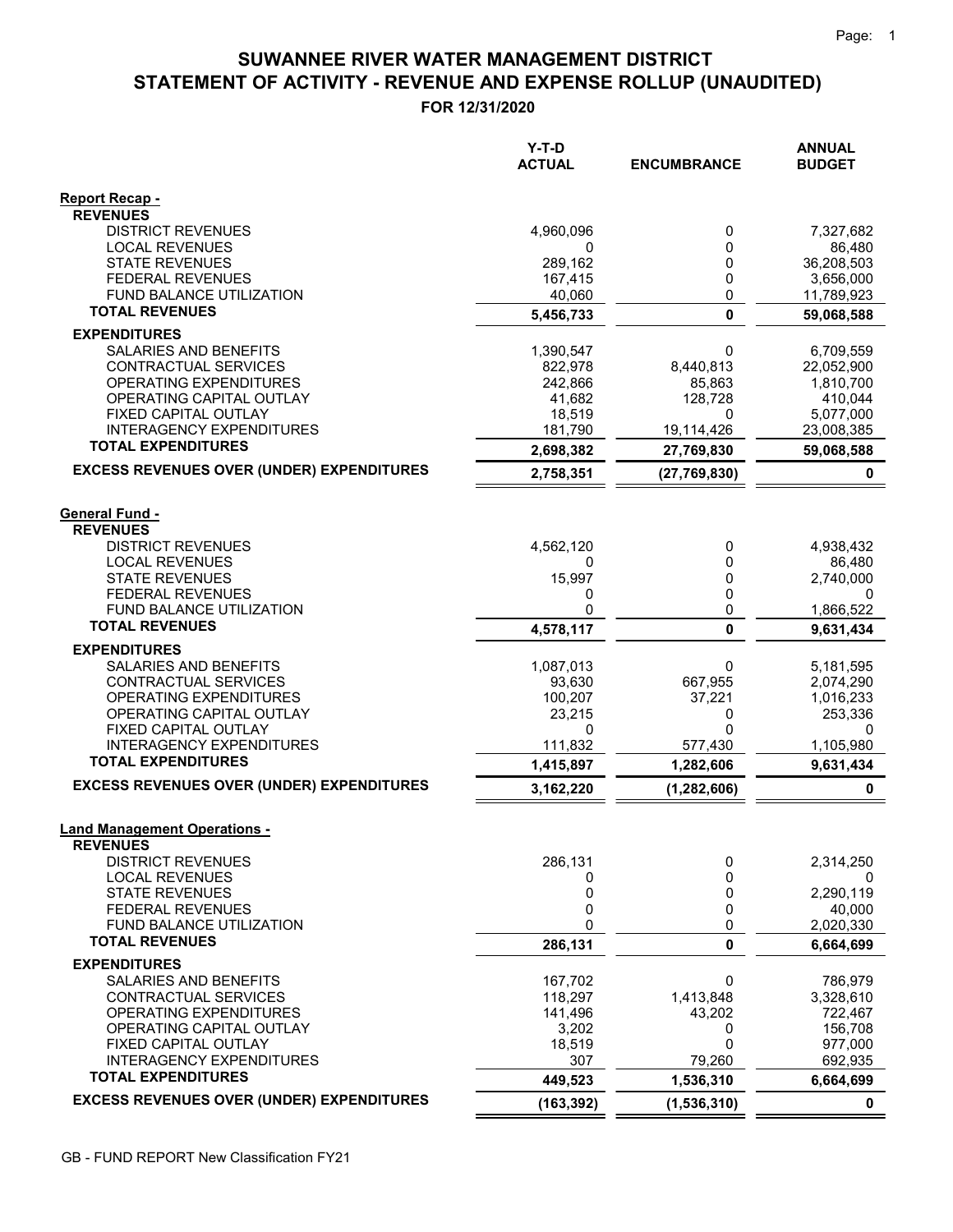# STATEMENT OF ACTIVITY - REVENUE AND EXPENSE ROLLUP (UNAUDITED) SUWANNEE RIVER WATER MANAGEMENT DISTRICT

FOR 12/31/2020

|                                                              | $Y-T-D$<br><b>ACTUAL</b> | <b>ENCUMBRANCE</b> | <b>ANNUAL</b><br><b>BUDGET</b> |
|--------------------------------------------------------------|--------------------------|--------------------|--------------------------------|
| Report Recap -                                               |                          |                    |                                |
| <b>REVENUES</b>                                              |                          |                    |                                |
| <b>DISTRICT REVENUES</b>                                     | 4,960,096                | 0                  | 7,327,682                      |
| <b>LOCAL REVENUES</b><br><b>STATE REVENUES</b>               | 0<br>289,162             | 0<br>0             | 86,480<br>36,208,503           |
| <b>FEDERAL REVENUES</b>                                      | 167,415                  | 0                  | 3,656,000                      |
| FUND BALANCE UTILIZATION                                     | 40,060                   | 0                  | 11,789,923                     |
| <b>TOTAL REVENUES</b>                                        | 5,456,733                | $\mathbf 0$        | 59,068,588                     |
| <b>EXPENDITURES</b>                                          |                          |                    |                                |
| SALARIES AND BENEFITS                                        | 1,390,547                | 0                  | 6,709,559                      |
| CONTRACTUAL SERVICES                                         | 822,978                  | 8,440,813          | 22,052,900                     |
| <b>OPERATING EXPENDITURES</b>                                | 242,866                  | 85,863             | 1,810,700                      |
| OPERATING CAPITAL OUTLAY<br>FIXED CAPITAL OUTLAY             | 41,682<br>18,519         | 128,728<br>0       | 410,044<br>5,077,000           |
| <b>INTERAGENCY EXPENDITURES</b>                              | 181,790                  | 19,114,426         | 23,008,385                     |
| <b>TOTAL EXPENDITURES</b>                                    | 2,698,382                | 27,769,830         | 59,068,588                     |
| <b>EXCESS REVENUES OVER (UNDER) EXPENDITURES</b>             | 2,758,351                | (27, 769, 830)     | 0                              |
|                                                              |                          |                    |                                |
| <b>General Fund -</b><br><b>REVENUES</b>                     |                          |                    |                                |
| <b>DISTRICT REVENUES</b>                                     | 4,562,120                | 0                  | 4,938,432                      |
| <b>LOCAL REVENUES</b>                                        | 0                        | 0                  | 86,480                         |
| <b>STATE REVENUES</b>                                        | 15,997                   | 0                  | 2,740,000                      |
| <b>FEDERAL REVENUES</b>                                      | 0                        | 0                  | 0                              |
| FUND BALANCE UTILIZATION                                     | 0                        | 0                  | 1,866,522                      |
| <b>TOTAL REVENUES</b>                                        | 4,578,117                | $\bf{0}$           | 9,631,434                      |
| <b>EXPENDITURES</b>                                          |                          |                    |                                |
| SALARIES AND BENEFITS<br>CONTRACTUAL SERVICES                | 1,087,013<br>93,630      | 0<br>667,955       | 5,181,595                      |
| <b>OPERATING EXPENDITURES</b>                                | 100,207                  | 37,221             | 2,074,290<br>1,016,233         |
| OPERATING CAPITAL OUTLAY                                     | 23,215                   | 0                  | 253,336                        |
| FIXED CAPITAL OUTLAY                                         | 0                        | $\Omega$           | 0                              |
| <b>INTERAGENCY EXPENDITURES</b><br><b>TOTAL EXPENDITURES</b> | 111,832                  | 577,430            | 1,105,980                      |
| <b>EXCESS REVENUES OVER (UNDER) EXPENDITURES</b>             | 1,415,897                | 1,282,606          | 9,631,434<br>0                 |
|                                                              | 3,162,220                | (1, 282, 606)      |                                |
| <b>Land Management Operations -</b>                          |                          |                    |                                |
| <b>REVENUES</b><br><b>DISTRICT REVENUES</b>                  | 286,131                  | 0                  | 2,314,250                      |
| <b>LOCAL REVENUES</b>                                        | 0                        | 0                  | 0                              |
| <b>STATE REVENUES</b>                                        | 0                        | 0                  | 2,290,119                      |
| <b>FEDERAL REVENUES</b>                                      | 0                        | 0                  | 40,000                         |
| FUND BALANCE UTILIZATION                                     | 0                        | 0                  | 2,020,330                      |
| <b>TOTAL REVENUES</b>                                        | 286,131                  | 0                  | 6,664,699                      |
| <b>EXPENDITURES</b>                                          |                          |                    |                                |
| SALARIES AND BENEFITS<br>CONTRACTUAL SERVICES                | 167,702<br>118,297       | 0<br>1,413,848     | 786,979<br>3,328,610           |
| OPERATING EXPENDITURES                                       | 141,496                  | 43,202             | 722,467                        |
| OPERATING CAPITAL OUTLAY                                     | 3,202                    | 0                  | 156,708                        |
| FIXED CAPITAL OUTLAY                                         | 18,519                   | 0                  | 977,000                        |
| <b>INTERAGENCY EXPENDITURES</b>                              | 307                      | 79,260             | 692,935                        |
| <b>TOTAL EXPENDITURES</b>                                    | 449,523                  | 1,536,310          | 6,664,699                      |
| <b>EXCESS REVENUES OVER (UNDER) EXPENDITURES</b>             | (163, 392)               | (1,536,310)        | $\mathbf 0$                    |